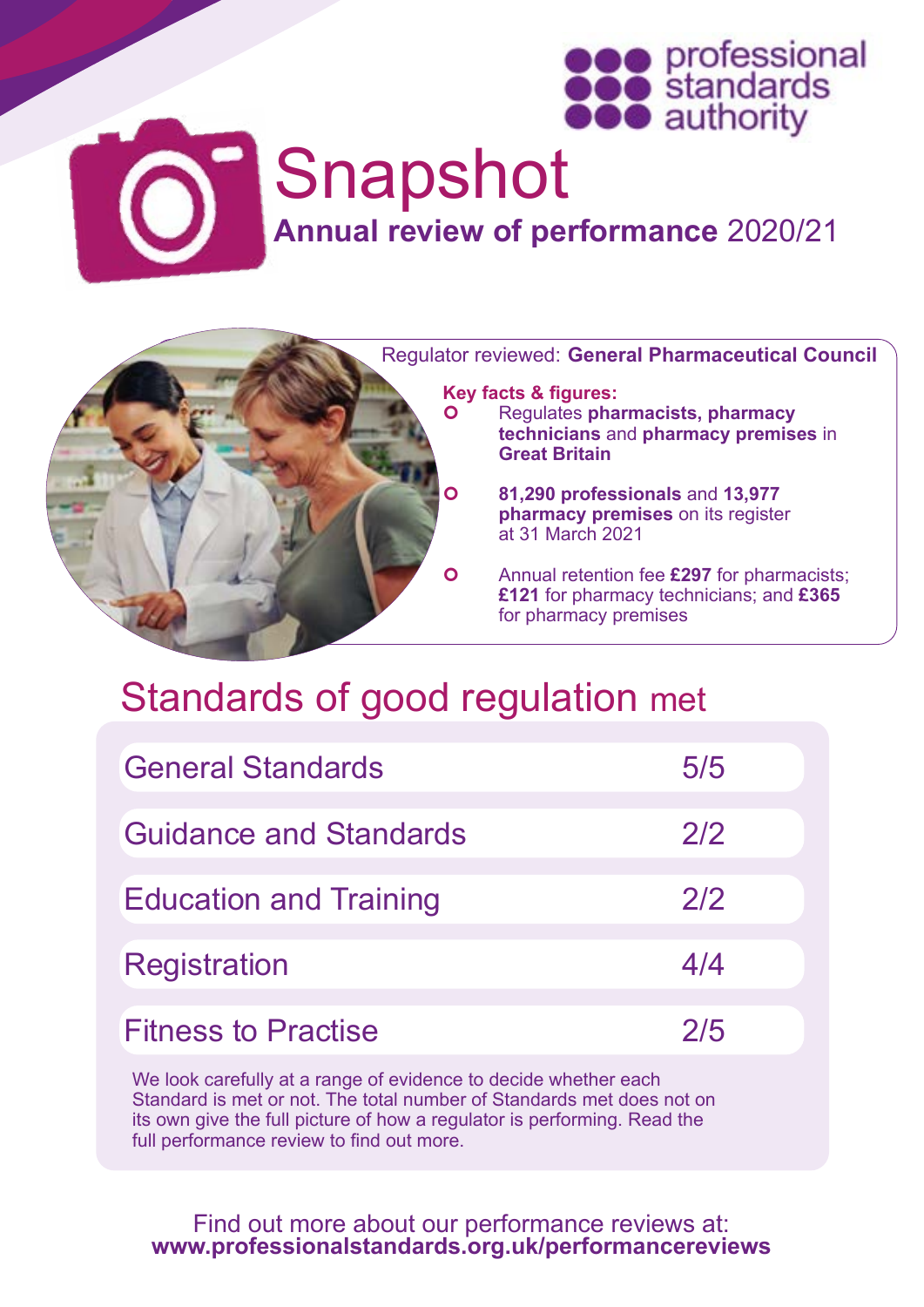



# Snapshot

**Annual review of performance** 2020/21



## Standards of good regulation met

| <b>General Standards</b>      | 5/5 |
|-------------------------------|-----|
| <b>Guidance and Standards</b> | 2/2 |
| <b>Education and Training</b> | 2/2 |
| <b>Registration</b>           | 4/4 |
| <b>Fitness to Practise</b>    | 2/5 |

We look carefully at a range of evidence to decide whether each Standard is met or not. The total number of Standards met does not on its own give the full picture of how a regulator is performing. Read the full performance review to find out more.

Find out more about our performance reviews at: **[www.professionalstandards.org.uk/performancereviews](http://www.professionalstandards.org.uk/performancereviews)**